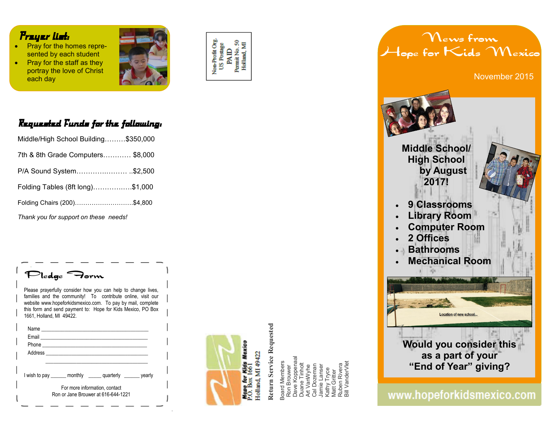#### *Prayer list:*

- **Pray for the homes repre**sented by each student
- Pray for the staff as they portray the love of Christ each day



# Non-Profit Org.<br>US Postage PAID<br>Permit No. 50<br>Holland, MI

### *Requested Funds for the following:*

| Middle/High School Building\$350,000  |  |
|---------------------------------------|--|
| 7th & 8th Grade Computers \$8,000     |  |
| P/A Sound System\$2,500               |  |
| Folding Tables (8ft long)\$1,000      |  |
| Folding Chairs (200)\$4,800           |  |
| Thank you for support on these needs! |  |

**Pledge Form** 

Please prayerfully consider how you can help to change lives, families and the community! To contribute online, visit our website www.hopeforkidsmexico.com. To pay by mail, complete this form and send payment to: Hope for Kids Mexico, PO Box 1661, Holland, MI 49422.

| I wish to pay _______ monthly _______ quarterly ________ yearly |  |
|-----------------------------------------------------------------|--|
| For more information, contact                                   |  |
| Ron or Jane Brouwer at 616-644-1221                             |  |



# **Return Service Requested Return Service Requested**

Dave Koppenaal Board Members<br>Ron Brouwer<br>Dave Koppenaa<br>Duane Tinholt<br>Art VanWyhe<br>Cal Dozeman<br>Jamie Lanser<br>Jamie Lanser Board Members Duane Tinholt Cal Dozeman Ruben Rivera Art VanWyhe Jamie Lanser Ron Brouwer Kathy Tryce Matt Gritter Ruben Rive<br>Bill Vander\ Vlatt Gritter

Bill VanderVlet